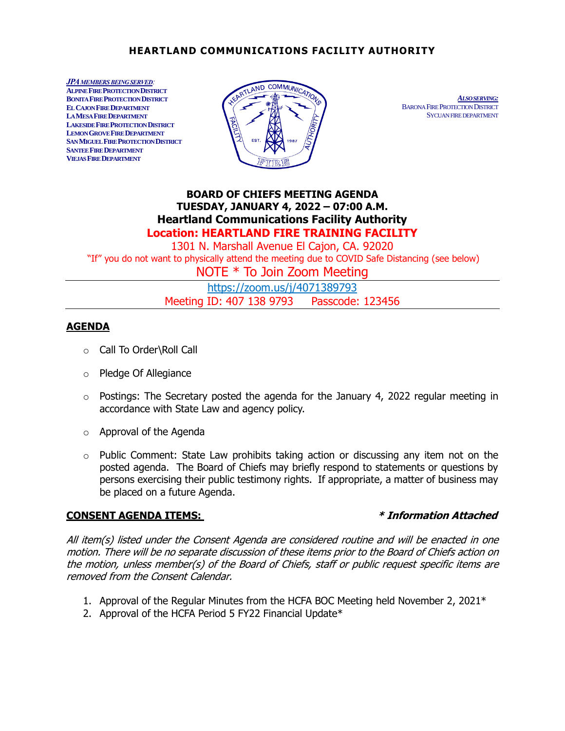## **HEARTLAND COMMUNICATIONS FACILITY AUTHORITY**

*JPAMEMBERS BEING SERVED:* **ALPINE FIRE PROTECTION DISTRICT BONITA FIRE PROTECTION DISTRICT EL CAJON FIRE DEPARTMENT LA MESA FIRE DEPARTMENT LAKESIDE FIRE PROTECTION DISTRICT LEMON GROVE FIRE DEPARTMENT SAN MIGUEL FIRE PROTECTION DISTRICT SANTEE FIRE DEPARTMENT VIEJAS FIRE DEPARTMENT**



 *ALSO SERVING:* BARONA FIRE PROTECTION DISTRICT SYCUAN FIRE DEPARTMENT

# **BOARD OF CHIEFS MEETING AGENDA TUESDAY, JANUARY 4, 2022 – 07:00 A.M. Heartland Communications Facility Authority Location: HEARTLAND FIRE TRAINING FACILITY**

1301 N. Marshall Avenue El Cajon, CA. 92020 "If" you do not want to physically attend the meeting due to COVID Safe Distancing (see below)

NOTE \* To Join Zoom Meeting

[https://zoom.us/j/4071389793](https://zoom.us/j/4071389793?pwd=MG03Y2Fzb0hTV0RibkQ2cmJRUTVqZz09https://zoom.us/j/4071389793?pwd=MG03Y2Fzb0hTV0RibkQ2cmJRUTVqZz09) Meeting ID: 407 138 9793 Passcode: 123456

## **AGENDA**

- o Call To Order\Roll Call
- o Pledge Of Allegiance
- $\circ$  Postings: The Secretary posted the agenda for the January 4, 2022 regular meeting in accordance with State Law and agency policy.
- o Approval of the Agenda
- $\circ$  Public Comment: State Law prohibits taking action or discussing any item not on the posted agenda. The Board of Chiefs may briefly respond to statements or questions by persons exercising their public testimony rights. If appropriate, a matter of business may be placed on a future Agenda.

## **CONSENT AGENDA ITEMS: \* Information Attached**

All item(s) listed under the Consent Agenda are considered routine and will be enacted in one motion. There will be no separate discussion of these items prior to the Board of Chiefs action on the motion, unless member(s) of the Board of Chiefs, staff or public request specific items are removed from the Consent Calendar.

- 1. Approval of the Regular Minutes from the HCFA BOC Meeting held November 2, 2021\*
- 2. Approval of the HCFA Period 5 FY22 Financial Update\*